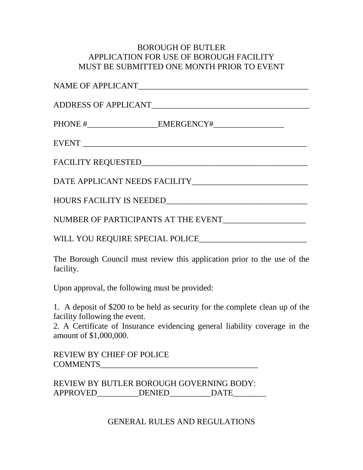## BOROUGH OF BUTLER APPLICATION FOR USE OF BOROUGH FACILITY MUST BE SUBMITTED ONE MONTH PRIOR TO EVENT

| ADDRESS OF APPLICANT                                                                  |
|---------------------------------------------------------------------------------------|
|                                                                                       |
|                                                                                       |
|                                                                                       |
|                                                                                       |
|                                                                                       |
| NUMBER OF PARTICIPANTS AT THE EVENT____________________                               |
| WILL YOU REQUIRE SPECIAL POLICE                                                       |
| The Borough Council must review this application prior to the use of the<br>facility. |

Upon approval, the following must be provided:

1. A deposit of \$200 to be held as security for the complete clean up of the facility following the event.

2. A Certificate of Insurance evidencing general liability coverage in the amount of \$1,000,000.

REVIEW BY CHIEF OF POLICE COMMENTS

REVIEW BY BUTLER BOROUGH GOVERNING BODY: APPROVED\_\_\_\_\_\_\_\_\_\_DENIED\_\_\_\_\_\_\_\_\_\_DATE\_\_\_\_\_\_\_\_\_

GENERAL RULES AND REGULATIONS